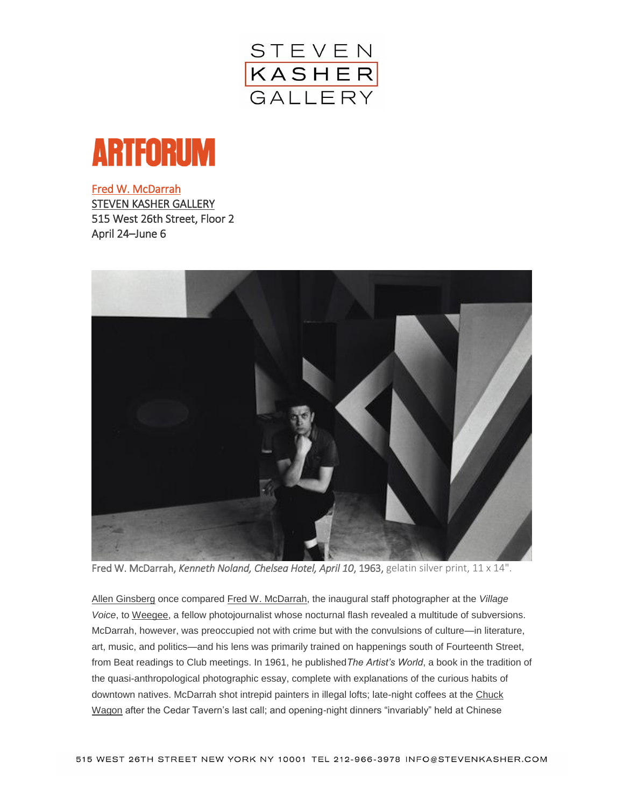



[Fred W. McDarrah](http://artforum.com/picks/id=52006)  [STEVEN KASHER GALLERY](http://artforum.com/guide/country=US&place=new-york&jump=4208#location4208)  515 West 26th Street, Floor 2 April 24–June 6



Fred W. McDarrah, *Kenneth Noland, Chelsea Hotel, April 10*, 1963, gelatin silver print, 11 x 14".

[Allen Ginsberg](http://artforum.com/search/search=%22Allen%20Ginsberg%22) once compared [Fred W. McDarrah,](http://artforum.com/search/search=%22Fred%20W.%20McDarrah%22) the inaugural staff photographer at the *Village Voice*, to [Weegee,](http://artforum.com/search/search=%22Weegee%22) a fellow photojournalist whose nocturnal flash revealed a multitude of subversions. McDarrah, however, was preoccupied not with crime but with the convulsions of culture—in literature, art, music, and politics—and his lens was primarily trained on happenings south of Fourteenth Street, from Beat readings to Club meetings. In 1961, he published*The Artist's World*, a book in the tradition of the quasi-anthropological photographic essay, complete with explanations of the curious habits of downtown natives. McDarrah shot intrepid painters in illegal lofts; late-night coffees at the Chuck [Wagon](http://artforum.com/search/search=%22Chuck%20Wagon%22) after the Cedar Tavern's last call; and opening-night dinners "invariably" held at Chinese